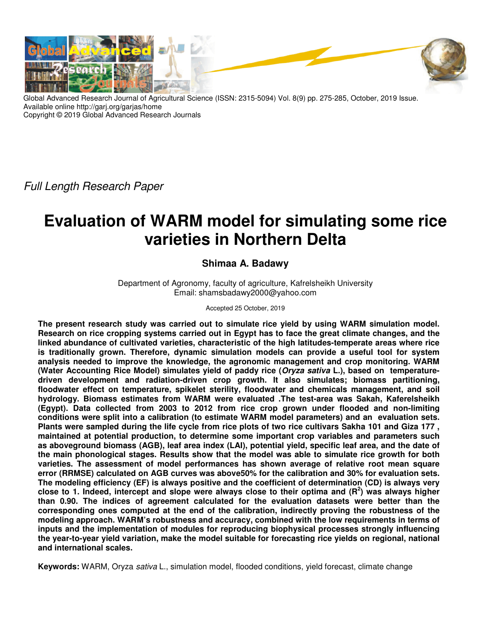

Global Advanced Research Journal of Agricultural Science (ISSN: 2315-5094) Vol. 8(9) pp. 275-285, October, 2019 Issue. Available online http://garj.org/garjas/home Copyright © 2019 Global Advanced Research Journals

*Full Length Research Paper*

# **Evaluation of WARM model for simulating some rice varieties in Northern Delta**

# **Shimaa A. Badawy**

Department of Agronomy, faculty of agriculture, Kafrelsheikh University Email: shamsbadawy2000@yahoo.com

Accepted 25 October, 2019

**The present research study was carried out to simulate rice yield by using WARM simulation model. Research on rice cropping systems carried out in Egypt has to face the great climate changes, and the linked abundance of cultivated varieties, characteristic of the high latitudes-temperate areas where rice is traditionally grown. Therefore, dynamic simulation models can provide a useful tool for system analysis needed to improve the knowledge, the agronomic management and crop monitoring. WARM (Water Accounting Rice Model) simulates yield of paddy rice (Oryza sativa L.), based on temperaturedriven development and radiation-driven crop growth. It also simulates; biomass partitioning, floodwater effect on temperature, spikelet sterility, floodwater and chemicals management, and soil hydrology. Biomass estimates from WARM were evaluated .The test-area was Sakah, Kaferelsheikh (Egypt). Data collected from 2003 to 2012 from rice crop grown under flooded and non-limiting conditions were split into a calibration (to estimate WARM model parameters) and an evaluation sets. Plants were sampled during the life cycle from rice plots of two rice cultivars Sakha 101 and Giza 177 , maintained at potential production, to determine some important crop variables and parameters such as aboveground biomass (AGB), leaf area index (LAI), potential yield, specific leaf area, and the date of the main phonological stages. Results show that the model was able to simulate rice growth for both varieties. The assessment of model performances has shown average of relative root mean square error (RRMSE) calculated on AGB curves was above50% for the calibration and 30% for evaluation sets. The modeling efficiency (EF) is always positive and the coefficient of determination (CD) is always very close to 1. Indeed, intercept and slope were always close to their optima and (R<sup>2</sup> ) was always higher than 0.90. The indices of agreement calculated for the evaluation datasets were better than the corresponding ones computed at the end of the calibration, indirectly proving the robustness of the modeling approach. WARM's robustness and accuracy, combined with the low requirements in terms of inputs and the implementation of modules for reproducing biophysical processes strongly influencing the year-to-year yield variation, make the model suitable for forecasting rice yields on regional, national and international scales.** 

**Keywords:** WARM, Oryza *sativa* L., simulation model, flooded conditions, yield forecast, climate change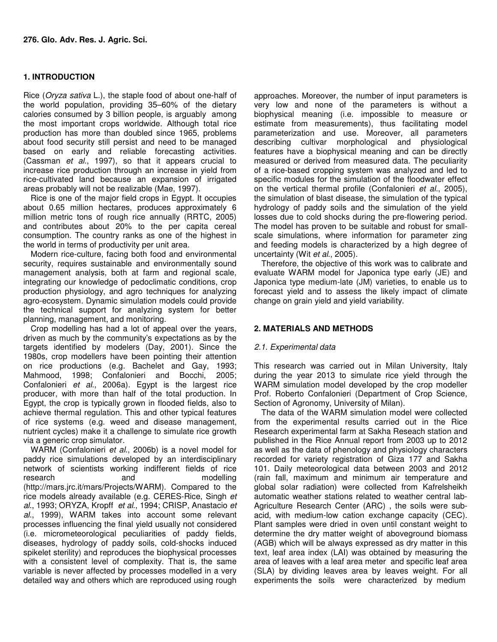# **1. INTRODUCTION**

Rice (*Oryza sativa* L.), the staple food of about one-half of the world population, providing 35–60% of the dietary calories consumed by 3 billion people, is arguably among the most important crops worldwide. Although total rice production has more than doubled since 1965, problems about food security still persist and need to be managed based on early and reliable forecasting activities. (Cassman *et al*., 1997), so that it appears crucial to increase rice production through an increase in yield from rice-cultivated land because an expansion of irrigated areas probably will not be realizable (Mae, 1997).

Rice is one of the major field crops in Egypt. It occupies about 0.65 million hectares, produces approximately 6 million metric tons of rough rice annually (RRTC, 2005) and contributes about 20% to the per capita cereal consumption. The country ranks as one of the highest in the world in terms of productivity per unit area.

Modern rice-culture, facing both food and environmental security, requires sustainable and environmentally sound management analysis, both at farm and regional scale, integrating our knowledge of pedoclimatic conditions, crop production physiology, and agro techniques for analyzing agro-ecosystem. Dynamic simulation models could provide the technical support for analyzing system for better planning, management, and monitoring.

Crop modelling has had a lot of appeal over the years, driven as much by the community's expectations as by the targets identified by modelers (Day, 2001). Since the 1980s, crop modellers have been pointing their attention on rice productions (e.g. Bachelet and Gay, 1993; Mahmood, 1998; Confalonieri and Bocchi, 2005; Confalonieri *et al*., 2006a). Egypt is the largest rice producer, with more than half of the total production. In Egypt, the crop is typically grown in flooded fields, also to achieve thermal regulation. This and other typical features of rice systems (e.g. weed and disease management, nutrient cycles) make it a challenge to simulate rice growth via a generic crop simulator.

WARM (Confalonieri *et al*., 2006b) is a novel model for paddy rice simulations developed by an interdisciplinary network of scientists working indifferent fields of rice research and modelling (http://mars.jrc.it/mars/Projects/WARM). Compared to the rice models already available (e.g. CERES-Rice, Singh *et al*., 1993; ORYZA, Kropff *et al*., 1994; CRISP, Anastacio *et al*., 1999), WARM takes into account some relevant processes influencing the final yield usually not considered (i.e. micrometeorological peculiarities of paddy fields, diseases, hydrology of paddy soils, cold-shocks induced spikelet sterility) and reproduces the biophysical processes with a consistent level of complexity. That is, the same variable is never affected by processes modelled in a very detailed way and others which are reproduced using rough approaches. Moreover, the number of input parameters is very low and none of the parameters is without a biophysical meaning (i.e. impossible to measure or estimate from measurements), thus facilitating model parameterization and use. Moreover, all parameters describing cultivar morphological and physiological features have a biophysical meaning and can be directly measured or derived from measured data. The peculiarity of a rice-based cropping system was analyzed and led to specific modules for the simulation of the floodwater effect on the vertical thermal profile (Confalonieri *et al*., 2005), the simulation of blast disease, the simulation of the typical hydrology of paddy soils and the simulation of the yield losses due to cold shocks during the pre-flowering period. The model has proven to be suitable and robust for smallscale simulations, where information for parameter zing and feeding models is characterized by a high degree of uncertainty (Wit *et al*., 2005).

Therefore, the objective of this work was to calibrate and evaluate WARM model for Japonica type early (JE) and Japonica type medium-late (JM) varieties, to enable us to forecast yield and to assess the likely impact of climate change on grain yield and yield variability.

# **2. MATERIALS AND METHODS**

# *2.1. Experimental data*

This research was carried out in Milan University, Italy during the year 2013 to simulate rice yield through the WARM simulation model developed by the crop modeller Prof. Roberto Confalonieri (Department of Crop Science, Section of Agronomy, University of Milan).

The data of the WARM simulation model were collected from the experimental results carried out in the Rice Research experimental farm at Sakha Reseach station and published in the Rice Annual report from 2003 up to 2012 as well as the data of phenology and physiology characters recorded for variety registration of Giza 177 and Sakha 101. Daily meteorological data between 2003 and 2012 (rain fall, maximum and minimum air temperature and global solar radiation) were collected from Kafrelsheikh automatic weather stations related to weather central lab-Agriculture Research Center (ARC) , the soils were subacid, with medium-low cation exchange capacity (CEC). Plant samples were dried in oven until constant weight to determine the dry matter weight of aboveground biomass (AGB) which will be always expressed as dry matter in this text, leaf area index (LAI) was obtained by measuring the area of leaves with a leaf area meter and specific leaf area (SLA) by dividing leaves area by leaves weight. For all experiments the soils were characterized by medium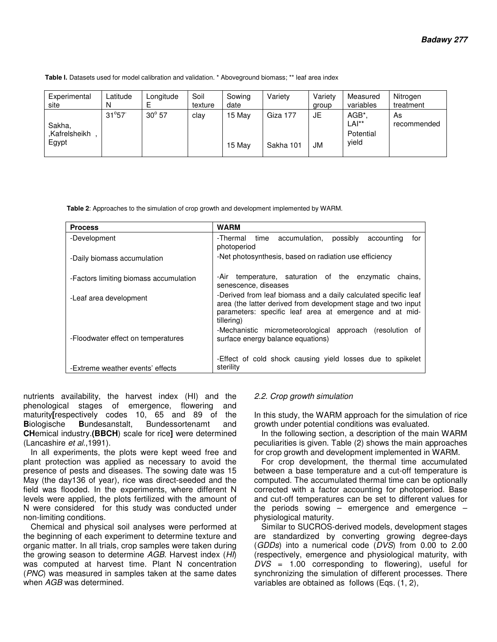| Table I. Datasets used for model calibration and validation. * Aboveground biomass; ** leaf area index |  |
|--------------------------------------------------------------------------------------------------------|--|
|--------------------------------------------------------------------------------------------------------|--|

| Experimental<br>site   | Latitude       | Longitude     | Soil<br>texture | Sowing<br>date | Variety   | Variety<br>group | Measured<br>variables | Nitrogen<br>treatment |
|------------------------|----------------|---------------|-----------------|----------------|-----------|------------------|-----------------------|-----------------------|
| Sakha,                 | $31^{\circ}57$ | $30^\circ 57$ | clav            | 15 May         | Giza 177  | JE               | AGB*<br>LAI**         | As<br>recommended     |
| .Kafrelsheikh<br>Egypt |                |               |                 | 15 Mav         | Sakha 101 | JM               | Potential<br>vield    |                       |

 **Table 2**: Approaches to the simulation of crop growth and development implemented by WARM.

| <b>Process</b>                         | <b>WARM</b>                                                                                                                                                                                               |
|----------------------------------------|-----------------------------------------------------------------------------------------------------------------------------------------------------------------------------------------------------------|
| -Development                           | accumulation,<br>-Thermal<br>time<br>possibly<br>accounting<br>for<br>photoperiod                                                                                                                         |
| -Daily biomass accumulation            | -Net photosynthesis, based on radiation use efficiency                                                                                                                                                    |
| -Factors limiting biomass accumulation | temperature, saturation of the enzymatic<br>chains.<br>-Air -<br>senescence, diseases                                                                                                                     |
| -Leaf area development                 | -Derived from leaf biomass and a daily calculated specific leaf<br>area (the latter derived from development stage and two input<br>parameters: specific leaf area at emergence and at mid-<br>tillering) |
| -Floodwater effect on temperatures     | -Mechanistic micrometeorological approach (resolution of<br>surface energy balance equations)                                                                                                             |
| -Extreme weather events' effects       | -Effect of cold shock causing yield losses due to spikelet<br>sterility                                                                                                                                   |

nutrients availability, the harvest index (HI) and the phenological stages of emergence, flowering and maturity [respectively codes 10, 65 and 89 of the<br>Biologische Bundesanstalt, Bundessortenamt and **B**iologische **B**undesanstalt, Bundessortenamt and **CH**emical industry.**(BBCH**) scale for rice**]** were determined (Lancashire *et al*.,1991).

In all experiments, the plots were kept weed free and plant protection was applied as necessary to avoid the presence of pests and diseases. The sowing date was 15 May (the day136 of year), rice was direct-seeded and the field was flooded. In the experiments, where different N levels were applied, the plots fertilized with the amount of N were considered for this study was conducted under non-limiting conditions.

Chemical and physical soil analyses were performed at the beginning of each experiment to determine texture and organic matter. In all trials, crop samples were taken during the growing season to determine *AGB*. Harvest index (*HI*) was computed at harvest time. Plant N concentration (*PNC*) was measured in samples taken at the same dates when *AGB* was determined.

# *2.2. Crop growth simulation*

In this study, the WARM approach for the simulation of rice growth under potential conditions was evaluated.

In the following section, a description of the main WARM peculiarities is given. Table (2) shows the main approaches for crop growth and development implemented in WARM.

For crop development, the thermal time accumulated between a base temperature and a cut-off temperature is computed. The accumulated thermal time can be optionally corrected with a factor accounting for photoperiod. Base and cut-off temperatures can be set to different values for the periods sowing  $-$  emergence and emergence  $$ physiological maturity.

Similar to SUCROS-derived models, development stages are standardized by converting growing degree-days (*GDDs*) into a numerical code (*DVS*) from 0.00 to 2.00 (respectively, emergence and physiological maturity, with *DVS* = 1.00 corresponding to flowering), useful for synchronizing the simulation of different processes. There variables are obtained as follows (Eqs. (1, 2),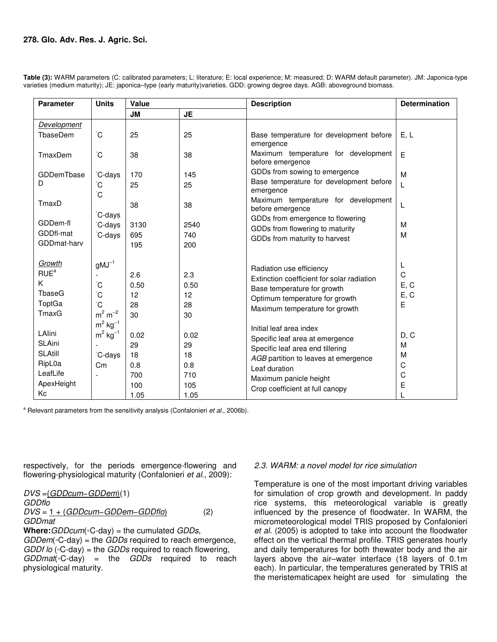| <b>Parameter</b>                                                                    | <b>Units</b>                                                       | Value                                         |                                               | <b>Description</b>                                                                                                                                                                                                   | <b>Determination</b>                    |  |
|-------------------------------------------------------------------------------------|--------------------------------------------------------------------|-----------------------------------------------|-----------------------------------------------|----------------------------------------------------------------------------------------------------------------------------------------------------------------------------------------------------------------------|-----------------------------------------|--|
|                                                                                     |                                                                    | <b>JM</b>                                     | <b>JE</b>                                     |                                                                                                                                                                                                                      |                                         |  |
| <b>Development</b><br>TbaseDem                                                      | $^{\circ}$ C                                                       | 25                                            | 25                                            | Base temperature for development before<br>emergence                                                                                                                                                                 | E, L                                    |  |
| TmaxDem                                                                             | $\rm ^{\circ}C$                                                    | 38                                            | 38                                            | Maximum temperature for development<br>before emergence                                                                                                                                                              | E                                       |  |
| <b>GDDemTbase</b><br>D                                                              | °C-days<br>ĈС                                                      | 170<br>25                                     | 145<br>25                                     | GDDs from sowing to emergence<br>Base temperature for development before<br>emergence                                                                                                                                | M<br>L                                  |  |
| TmaxD                                                                               | ĈС<br>°C-days                                                      | 38                                            | 38                                            | Maximum temperature for development<br>before emergence                                                                                                                                                              | L                                       |  |
| GDDem-fl<br>GDDfl-mat<br>GDDmat-harv                                                | C-days<br>°C-days                                                  | 3130<br>695<br>195                            | 2540<br>740<br>200                            | GDDs from emergence to flowering<br>GDDs from flowering to maturity<br>GDDs from maturity to harvest                                                                                                                 | M<br>M                                  |  |
| Growth<br>RUE <sup>a</sup><br>K<br>TbaseG<br>ToptGa<br>TmaxG                        | $gMJ^{-1}$<br>°С<br>ĈС<br>$\rm ^{\circ}C$<br>$m^2$ m <sup>-2</sup> | 2.6<br>0.50<br>12<br>28<br>30                 | 2.3<br>0.50<br>12<br>28<br>30                 | Radiation use efficiency<br>Extinction coefficient for solar radiation<br>Base temperature for growth<br>Optimum temperature for growth<br>Maximum temperature for growth                                            | L<br>C<br>E, C<br>E, C<br>E             |  |
| LAlini<br><b>SLAini</b><br><b>SLAtill</b><br>RipL0a<br>LeafLife<br>ApexHeight<br>Кc | $m^2$ kg <sup>-1</sup><br>$m^2$ kg <sup>-1</sup><br>C-days<br>Cm   | 0.02<br>29<br>18<br>0.8<br>700<br>100<br>1.05 | 0.02<br>29<br>18<br>0.8<br>710<br>105<br>1.05 | Initial leaf area index<br>Specific leaf area at emergence<br>Specific leaf area end tillering<br>AGB partition to leaves at emergence<br>Leaf duration<br>Maximum panicle height<br>Crop coefficient at full canopy | D, C<br>M<br>M<br>C<br>$\mathsf C$<br>E |  |

**Table (3):** WARM parameters (C: calibrated parameters; L: literature; E: local experience; M: measured; D: WARM default parameter). JM: Japonica-type varieties (medium maturity); JE: japonica–type (early maturity)varieties. GDD: growing degree days. AGB: aboveground biomass.

a Relevant parameters from the sensitivity analysis (Confalonieri *et al*., 2006b).

respectively, for the periods emergence-flowering and flowering-physiological maturity (Confalonieri *et al*., 2009):

*DVS* =(*GDDcum*−*GDDem*)(1) *GDDflo DVS* = 1 + (*GDDcum*−*GDDem*−*GDDflo*) (2) *GDDmat* 

**Where:***GDDcum*(◦C-day) = the cumulated *GDDs*, *GDDem*(◦C-day) = the *GDDs* required to reach emergence, *GDDf lo* (◦C-day) = the *GDDs* required to reach flowering, *GDDmat*(◦C-day) = the *GDDs* required to reach physiological maturity.

# *2.3. WARM: a novel model for rice simulation*

Temperature is one of the most important driving variables for simulation of crop growth and development. In paddy rice systems, this meteorological variable is greatly influenced by the presence of floodwater. In WARM, the micrometeorological model TRIS proposed by Confalonieri *et al*. (2005) is adopted to take into account the floodwater effect on the vertical thermal profile. TRIS generates hourly and daily temperatures for both thewater body and the air layers above the air–water interface (18 layers of 0.1m each). In particular, the temperatures generated by TRIS at the meristematicapex height are used for simulating the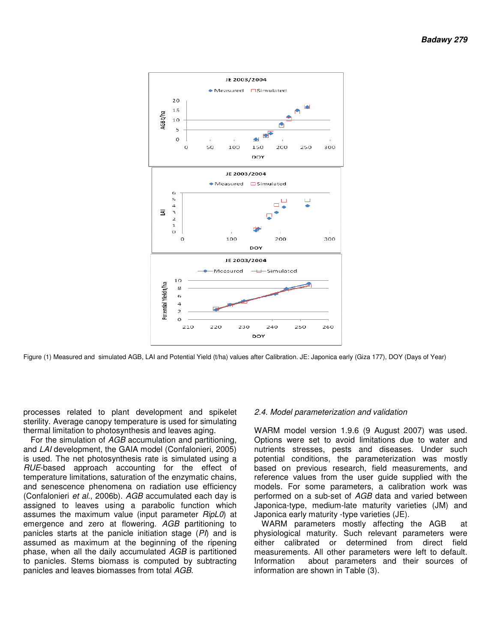

Figure (1) Measured and simulated AGB, LAI and Potential Yield (t/ha) values after Calibration. JE: Japonica early (Giza 177), DOY (Days of Year)

processes related to plant development and spikelet sterility. Average canopy temperature is used for simulating thermal limitation to photosynthesis and leaves aging.

For the simulation of *AGB* accumulation and partitioning, and *LAI* development, the GAIA model (Confalonieri, 2005) is used. The net photosynthesis rate is simulated using a *RUE*-based approach accounting for the effect of temperature limitations, saturation of the enzymatic chains, and senescence phenomena on radiation use efficiency (Confalonieri *et al*., 2006b). *AGB* accumulated each day is assigned to leaves using a parabolic function which assumes the maximum value (input parameter *RipL0*) at emergence and zero at flowering. *AGB* partitioning to panicles starts at the panicle initiation stage (PI) and is assumed as maximum at the beginning of the ripening phase, when all the daily accumulated *AGB*  is partitioned to panicles. Stems biomass is computed by subtracting panicles and leaves biomasses from total *AGB AGB*. ty. Average canopy temperature is used for simulating al limitation to photosynthesis and leaves aging.<br>
the simulation of  $AGB$  accumulation and partitioning,  $AI$  development, the GAIA model (Confalonieri, 2005)<br>
ed. The

#### *2.4. Model parameterization and validation*

WARM model version 1.9.6 (9 August 2007) was used. Options were set to avoid limitations due to water and nutrients stresses, pests and diseases. Under such potential conditions, the parameterization was mostly based on previous research, field measurements, and reference values from the user guide supplied with the models. For some parameters, a calibration work was models. For some parameters, a calibration work was<br>performed on a sub-set of *AGB* data and varied between Japonica-type, medium-late maturity varieties (JM) and<br>Japonica early maturity -type varieties (JE). Japonica early maturity -type varieties (JE). ptions were set to avoid limitations due to water and<br>utrients stresses, pests and diseases. Under such<br>btential conditions, the parameterization was mostly<br>ased on previous research, field measurements, and<br>ference values

WARM parameters mostly affecting the AGB at physiological maturity. Such relevant parameters were either calibrated or determined from direct field measurements. All other parameters were left to default Information about parameters and their sources of Information about parameters<br>information are shown in Table (3). parameters were<br>om direct field<br>rre left to default.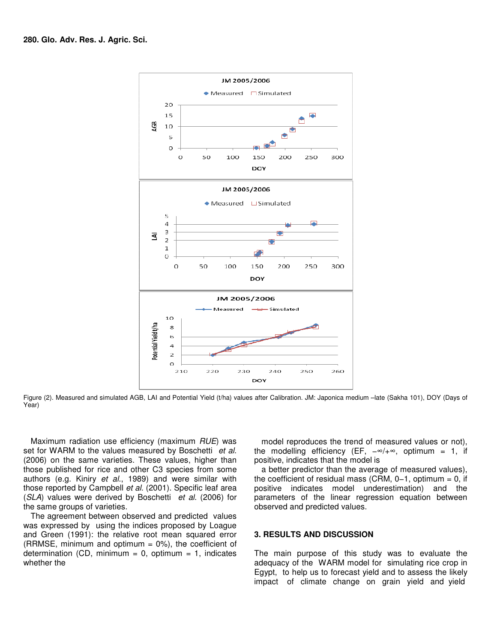

Figure (2). Measured and simulated AGB, LAI and Potential Yield (t/ha) values after Calibration. JM: Japonica medium -late (Sakha 101), DOY (Days of Year)

Maximum radiation use efficiency (maximum radiation *RUE*) was set for WARM to the values measured by Boschetti et al. (2006) on the same varieties. These values, higher than those published for rice and other C3 species from some authors (e.g. Kiniry *et al*., 1989) and were similar similar with those reported by Campbell *et al.* (2001). Specific leaf area (*SLA*) values were derived by Boschetti *et al.* (2006) for the same groups of varieties. radiation use efficiency (maximum *RUE*) was model reproduces the trend of measured values or not), M to the values measured by Boschetti *et al.* the modelling efficiency (EF,  $-\infty$ ,  $+\infty$ , optimum = 1, if positive same

The agreement between observed and predicted values was expressed by using the indices proposed by Loague and Green (1991): the relative root mean squared error (RRMSE, minimum and optimum  $= 0\%$ ), the coefficient of determination (CD, minimum =  $0$ , optimum =  $1$ , indicates whether the

the modelling efficiency (EF, -∞/+∞, optimum = 1, if positive, indicates that the model is

a better predictor than the average of measured values), a better predictor than the average of measured values),<br>the coefficient of residual mass (CRM, 0–1, optimum = 0, if positive indicates model underestimation) and the observed and predicted values.

### **3. RESULTS AND DISCUSSION**

parameters of the linear regression equation between<br>observed and predicted values.<br>**3. RESULTS AND DISCUSSION**<br>The main purpose of this study was to evaluate the<br>adequacy of the WARM model for simulating rice crop in The main purpose of this study was to evaluate the adequacy of the WARM model for simulating rice crop in Egypt, to help us to forecast yield and to assess the likely impact of climate change on grain yield and yield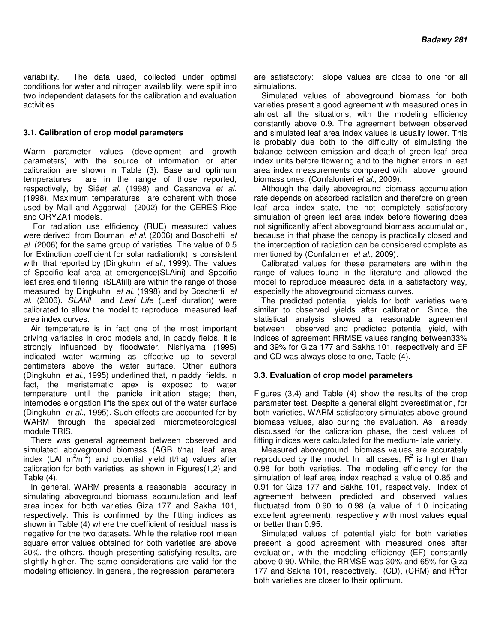variability. The data used, collected under optimal conditions for water and nitrogen availability, were split into two independent datasets for the calibration and evaluation activities.

## **3.1. Calibration of crop model parameters**

Warm parameter values (development and growth parameters) with the source of information or after calibration are shown in Table (3). Base and optimum temperatures are in the range of those reported, respectively, by Sié*et al*. (1998) and Casanova *et al*. (1998). Maximum temperatures are coherent with those used by Mall and Aggarwal (2002) for the CERES-Rice and ORYZA1 models.

 For radiation use efficiency (RUE) measured values were derived from Bouman *et al*. (2006) and Boschetti *et al*. (2006) for the same group of varieties. The value of 0.5 for Extinction coefficient for solar radiation(k) is consistent with that reported by (Dingkuhn *et al*., 1999). The values of Specific leaf area at emergence(SLAini) and Specific leaf area end tillering (SLAtill) are within the range of those measured by Dingkuhn *et al*. (1998) and by Boschetti *et al*. (2006). *SLAtill* and *Leaf Life* (Leaf duration) were calibrated to allow the model to reproduce measured leaf area index curves.

Air temperature is in fact one of the most important driving variables in crop models and, in paddy fields, it is strongly influenced by floodwater. Nishiyama (1995) indicated water warming as effective up to several centimeters above the water surface. Other authors (Dingkuhn *et al*., 1995) underlined that, in paddy fields. In fact, the meristematic apex is exposed to water temperature until the panicle initiation stage; then, internodes elongation lifts the apex out of the water surface (Dingkuhn *et al*., 1995). Such effects are accounted for by WARM through the specialized micrometeorological module TRIS.

There was general agreement between observed and simulated aboveground biomass (AGB t/ha), leaf area index (LAI  $m^2/m^2$ ) and potential yield (t/ha) values after calibration for both varieties as shown in Figures(1,2) and Table (4).

In general, WARM presents a reasonable accuracy in simulating aboveground biomass accumulation and leaf area index for both varieties Giza 177 and Sakha 101, respectively. This is confirmed by the fitting indices as shown in Table (4) where the coefficient of residual mass is negative for the two datasets. While the relative root mean square error values obtained for both varieties are above 20%, the others, though presenting satisfying results, are slightly higher. The same considerations are valid for the modeling efficiency. In general, the regression parameters

are satisfactory: slope values are close to one for all simulations.

Simulated values of aboveground biomass for both varieties present a good agreement with measured ones in almost all the situations, with the modeling efficiency constantly above 0.9. The agreement between observed and simulated leaf area index values is usually lower. This is probably due both to the difficulty of simulating the balance between emission and death of green leaf area index units before flowering and to the higher errors in leaf area index measurements compared with above ground biomass ones. (Confalonieri *et al*., 2009).

Although the daily aboveground biomass accumulation rate depends on absorbed radiation and therefore on green leaf area index state, the not completely satisfactory simulation of green leaf area index before flowering does not significantly affect aboveground biomass accumulation, because in that phase the canopy is practically closed and the interception of radiation can be considered complete as mentioned by (Confalonieri *et al*., 2009).

Calibrated values for these parameters are within the range of values found in the literature and allowed the model to reproduce measured data in a satisfactory way, especially the aboveground biomass curves.

The predicted potential yields for both varieties were similar to observed yields after calibration. Since, the statistical analysis showed a reasonable agreement between observed and predicted potential yield, with indices of agreement RRMSE values ranging between33% and 39% for Giza 177 and Sakha 101, respectively and EF and CD was always close to one, Table (4).

# **3.3. Evaluation of crop model parameters**

Figures (3,4) and Table (4) show the results of the crop parameter test. Despite a general slight overestimation, for both varieties, WARM satisfactory simulates above ground biomass values, also during the evaluation. As already discussed for the calibration phase, the best values of fitting indices were calculated for the medium- late variety.

Measured aboveground biomass values are accurately reproduced by the model. In all cases,  $R^2$  is higher than 0.98 for both varieties. The modeling efficiency for the simulation of leaf area index reached a value of 0.85 and 0.91 for Giza 177 and Sakha 101, respectively. Index of agreement between predicted and observed values fluctuated from 0.90 to 0.98 (a value of 1.0 indicating excellent agreement), respectively with most values equal or better than 0.95.

Simulated values of potential yield for both varieties present a good agreement with measured ones after evaluation, with the modeling efficiency (EF) constantly above 0.90. While, the RRMSE was 30% and 65% for Giza 177 and Sakha 101, respectively. (CD), (CRM) and  $R^2$ for both varieties are closer to their optimum.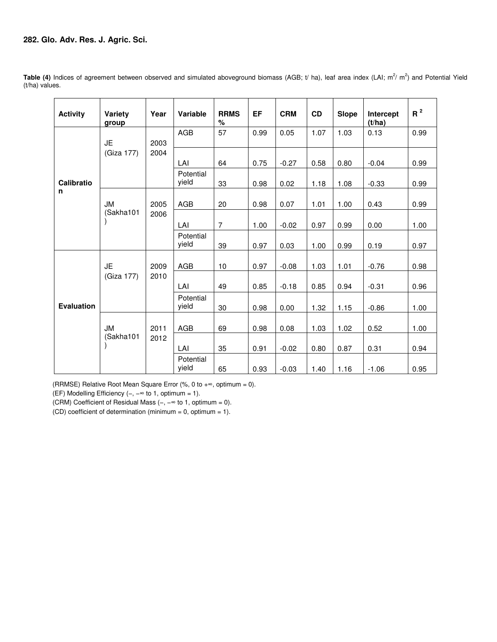# **282. Glo. Adv. Res. J. Agric. Sci.**

| <b>Activity</b>   | Variety<br>group | Year | <b>Variable</b>    | <b>RRMS</b><br>$\%$ | EF   | <b>CRM</b> | <b>CD</b> | <b>Slope</b> | Intercept<br>(t/ha) | $R^2$ |
|-------------------|------------------|------|--------------------|---------------------|------|------------|-----------|--------------|---------------------|-------|
|                   | <b>JE</b>        | 2003 | <b>AGB</b>         | 57                  | 0.99 | 0.05       | 1.07      | 1.03         | 0.13                | 0.99  |
|                   | (Giza 177)       | 2004 | LAI                | 64                  | 0.75 | $-0.27$    | 0.58      | 0.80         | $-0.04$             | 0.99  |
| <b>Calibratio</b> |                  |      | Potential<br>yield | 33                  | 0.98 | 0.02       | 1.18      | 1.08         | $-0.33$             | 0.99  |
| n                 | <b>JM</b>        | 2005 | <b>AGB</b>         | 20                  | 0.98 | 0.07       | 1.01      | 1.00         | 0.43                | 0.99  |
|                   | (Sakha101        | 2006 | LAI                | $\overline{7}$      | 1.00 | $-0.02$    | 0.97      | 0.99         | 0.00                | 1.00  |
|                   |                  |      | Potential<br>yield | 39                  | 0.97 | 0.03       | 1.00      | 0.99         | 0.19                | 0.97  |
|                   | <b>JE</b>        | 2009 | AGB                | 10                  | 0.97 | $-0.08$    | 1.03      | 1.01         | $-0.76$             | 0.98  |
|                   | (Giza 177)       | 2010 | LAI                | 49                  | 0.85 | $-0.18$    | 0.85      | 0.94         | $-0.31$             | 0.96  |
| <b>Evaluation</b> |                  |      | Potential<br>vield | 30                  | 0.98 | 0.00       | 1.32      | 1.15         | $-0.86$             | 1.00  |
|                   | <b>JM</b>        | 2011 | AGB                | 69                  | 0.98 | 0.08       | 1.03      | 1.02         | 0.52                | 1.00  |
|                   | (Sakha101        | 2012 | LAI                | 35                  | 0.91 | $-0.02$    | 0.80      | 0.87         | 0.31                | 0.94  |
|                   |                  |      | Potential<br>yield | 65                  | 0.93 | $-0.03$    | 1.40      | 1.16         | $-1.06$             | 0.95  |

Table (4) Indices of agreement between observed and simulated aboveground biomass (AGB; t/ ha), leaf area index (LAI; m<sup>2</sup>/ m<sup>2</sup>) and Potential Yield (t/ha) values.

(RRMSE) Relative Root Mean Square Error (%, 0 to  $+\infty$ , optimum = 0).

(EF) Modelling Efficiency (−, −∞ to 1, optimum = 1).

(CRM) Coefficient of Residual Mass (−, −∞ to 1, optimum = 0).

(CD) coefficient of determination (minimum =  $0$ , optimum =  $1$ ).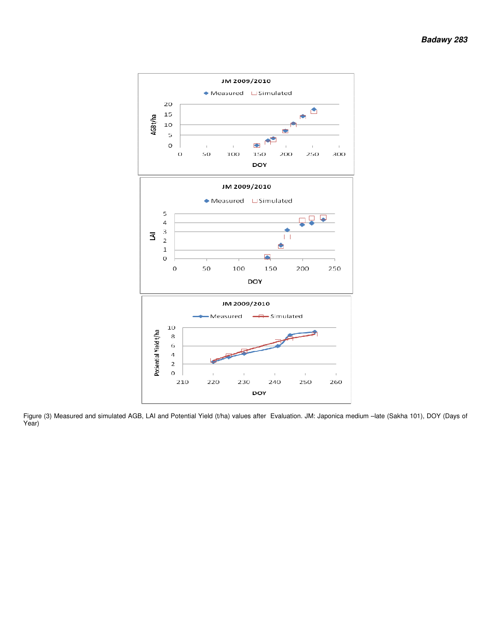

Figure (3) Measured and simulated AGB, LAI and Potential Yield (t/ha) values Year) values after Evaluation. JM: Japonica medium – late (Sakha 101), DOY (Days of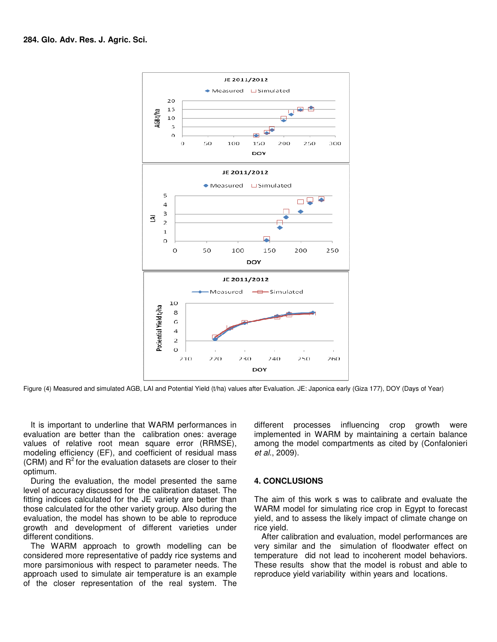

Figure (4) Measured and simulated AGB, LAI and Potential Yield (t/ha) values after Evaluation. JE: Japonica early (Giza 177), DOY (Days of Year)

It is important to underline that WARM performances in evaluation are better than the calibration ones: average It is important to underline that WARM performances in<br>evaluation are better than the calibration ones: average<br>values of relative root mean square error (RRMSE), modeling efficiency (EF), and coefficient of residual mass (CRM) and  $R<sup>2</sup>$  for the evaluation datasets are closer to their optimum. and coefficient of residual mass<br>uation datasets are closer to their<br>the model presented the same<br>d for the calibration dataset. The

During the evaluation, the model presented the same level of accuracy discussed for the calibration dataset. fitting indices calculated for the JE variety are better than those calculated for the other variety group. Also during the evaluation, the model has shown to be able to reproduce growth and development of different varieties under different conditions.

The WARM approach to growth modelling can be considered more representative of paddy rice systems and more parsimonious with respect to parameter needs. The approach used to simulate air temperature is an example of the closer representation of the real system. The fitting indices calculated for the JE variety are better than<br>those calculated for the other variety group. Also during the<br>evaluation, the model has shown to be able to reproduce<br>growth and development of different variet different processes influencing crop growth were implemented in WARM by maintaining a certain balance among the model compartments as cited by (Confalonieri *et al*., 2009). sses influencing crop growth were<br>WARM by maintaining a certain-balance<br>el compartments as cited by (Confalonieri

# **4. CONCLUSIONS**

The aim of this work s was to calibrate and evaluate the The aim of this work s was to calibrate and evaluate the<br>WARM model for simulating rice crop in Egypt to forecast yield, and to assess the likely impact of climate change on rice yield. eld, and to assess the likely impact of climate change on<br>:e yield.<br>After calibration and evaluation, model performances are

very similar and the simulation of floodwater effect on temperature did not lead to incoherent model behaviors.<br>These results show that the model is robust and able to reproduce yield variability within years and locations temperature did not lead to incoherent model behaviors. These results show that the model is robust and able to reproduce yield variability within years and locations.